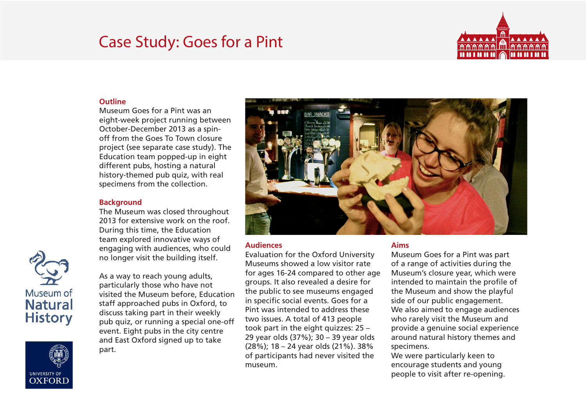# Case Study: Goes for a Pint



## **Outline**

Museum Goes for a Pint was an eight-week project running between October-December 2013 as a spinoff from the Goes To Town closure project (see separate case study). The Education team popped-up in eight different pubs, hosting a natural history-themed pub quiz, with real specimens from the collection.

## **Background**

The Museum was closed throughout 2013 for extensive work on the roof. During this time, the Education team explored innovative ways of engaging with audiences, who could no longer visit the building itself.

As a way to reach young adults, particularly those who have not visited the Museum before, Education staff approached pubs in Oxford, to discuss taking part in their weekly pub quiz, or running a special one-off event. Eight pubs in the city centre and East Oxford signed up to take part.



#### **Audiences**

Evaluation for the Oxford University Museums showed a low visitor rate for ages 16-24 compared to other age groups. It also revealed a desire for the public to see museums engaged in specific social events. Goes for a Pint was intended to address these two issues. A total of 413 people took part in the eight quizzes: 25 – 29 year olds (37%); 30 – 39 year olds (28%); 18 – 24 year olds (21%). 38% of participants had never visited the museum.

#### **Aims**

Museum Goes for a Pint was part of a range of activities during the Museum's closure year, which were intended to maintain the profile of the Museum and show the playful side of our public engagement. We also aimed to engage audiences who rarely visit the Museum and provide a genuine social experience around natural history themes and specimens.

We were particularly keen to encourage students and young people to visit after re-opening.